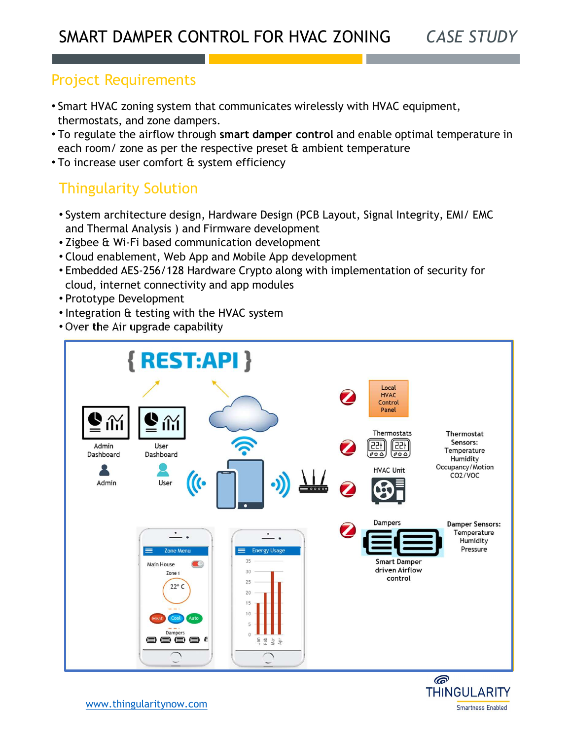## Project Requirements

- Smart HVAC zoning system that communicates wirelessly with HVAC equipment, thermostats, and zone dampers.
- To regulate the airflow through smart damper control and enable optimal temperature in each room/ zone as per the respective preset  $\alpha$  ambient temperature
- To increase user comfort & system efficiency

## Thingularity Solution

- System architecture design, Hardware Design (PCB Layout, Signal Integrity, EMI/ EMC and Thermal Analysis ) and Firmware development
- Zigbee & Wi-Fi based communication development
- Cloud enablement, Web App and Mobile App development
- Embedded AES-256/128 Hardware Crypto along with implementation of security for cloud, internet connectivity and app modules
- Prototype Development
- Integration & testing with the HVAC system
- Over the Air upgrade capability